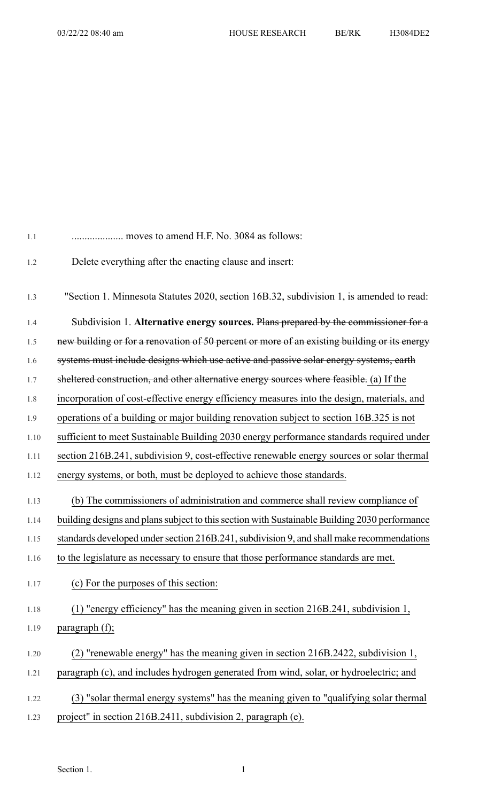| 1.1  | moves to amend H.F. No. 3084 as follows:                                                      |
|------|-----------------------------------------------------------------------------------------------|
| 1.2  | Delete everything after the enacting clause and insert:                                       |
| 1.3  | "Section 1. Minnesota Statutes 2020, section 16B.32, subdivision 1, is amended to read:       |
| 1.4  | Subdivision 1. Alternative energy sources. Plans prepared by the commissioner for a           |
| 1.5  | new building or for a renovation of 50 percent or more of an existing building or its energy  |
| 1.6  | systems must include designs which use active and passive solar energy systems, earth         |
| 1.7  | sheltered construction, and other alternative energy sources where feasible. (a) If the       |
| 1.8  | incorporation of cost-effective energy efficiency measures into the design, materials, and    |
| 1.9  | operations of a building or major building renovation subject to section 16B.325 is not       |
| 1.10 | sufficient to meet Sustainable Building 2030 energy performance standards required under      |
| 1.11 | section 216B.241, subdivision 9, cost-effective renewable energy sources or solar thermal     |
| 1.12 | energy systems, or both, must be deployed to achieve those standards.                         |
| 1.13 | (b) The commissioners of administration and commerce shall review compliance of               |
| 1.14 | building designs and plans subject to this section with Sustainable Building 2030 performance |
| 1.15 | standards developed under section 216B.241, subdivision 9, and shall make recommendations     |
| 1.16 | to the legislature as necessary to ensure that those performance standards are met.           |
| 1.17 | (c) For the purposes of this section:                                                         |
| 1.18 | (1) "energy efficiency" has the meaning given in section 216B.241, subdivision 1,             |
| 1.19 | paragraph (f);                                                                                |
| 1.20 | (2) "renewable energy" has the meaning given in section 216B.2422, subdivision 1,             |
| 1.21 | paragraph (c), and includes hydrogen generated from wind, solar, or hydroelectric; and        |
| 1.22 | (3) "solar thermal energy systems" has the meaning given to "qualifying solar thermal         |
| 1.23 | project" in section 216B.2411, subdivision 2, paragraph (e).                                  |